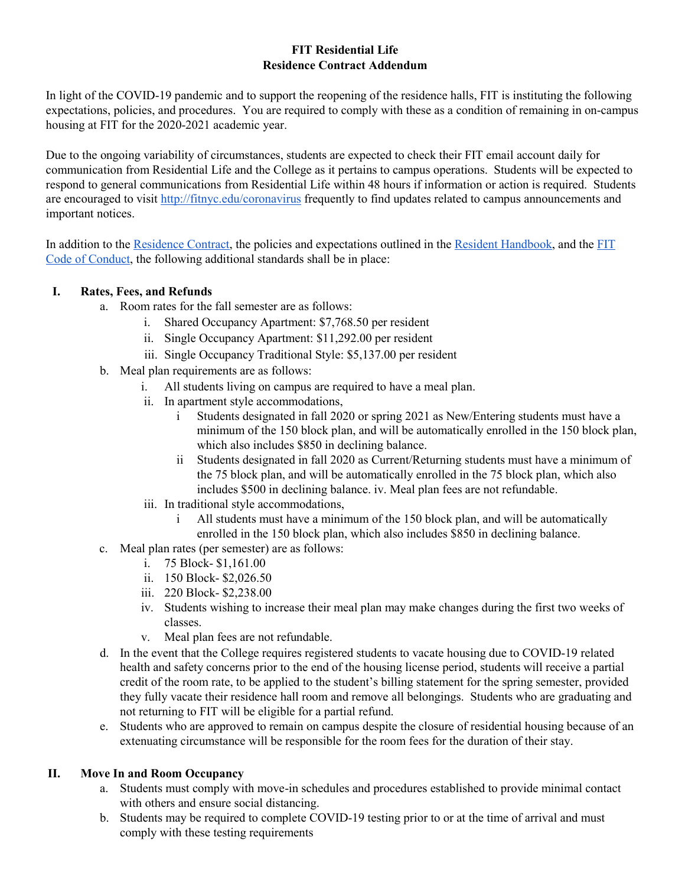#### **FIT Residential Life Residence Contract Addendum**

In light of the COVID-19 pandemic and to support the reopening of the residence halls, FIT is instituting the following expectations, policies, and procedures. You are required to comply with these as a condition of remaining in on-campus housing at FIT for the 2020-2021 academic year.

Due to the ongoing variability of circumstances, students are expected to check their FIT email account daily for communication from Residential Life and the College as it pertains to campus operations. Students will be expected to respond to general communications from Residential Life within 48 hours if information or action is required. Students are encouraged to visit<http://fitnyc.edu/coronavirus> frequently to find updates related to campus announcements and important notices.

In addition to the [Residence Contract,](http://www.fitnyc.edu/residential-life/policies/index.php) the policies and expectations outlined in the [Resident Handbook,](http://www.fitnyc.edu/residential-life/policies/index.php) and the [FIT](http://www.fitnyc.edu/policies/enrollment-management/code-of-conduct.php) [Code of Conduct,](http://www.fitnyc.edu/policies/enrollment-management/code-of-conduct.php) the following additional standards shall be in place:

### **I. Rates, Fees, and Refunds**

- a. Room rates for the fall semester are as follows:
	- i. Shared Occupancy Apartment: \$7,768.50 per resident
	- ii. Single Occupancy Apartment: \$11,292.00 per resident
	- iii. Single Occupancy Traditional Style: \$5,137.00 per resident
- b. Meal plan requirements are as follows:
	- i. All students living on campus are required to have a meal plan.
	- ii. In apartment style accommodations,
		- i Students designated in fall 2020 or spring 2021 as New/Entering students must have a minimum of the 150 block plan, and will be automatically enrolled in the 150 block plan, which also includes \$850 in declining balance.
		- ii Students designated in fall 2020 as Current/Returning students must have a minimum of the 75 block plan, and will be automatically enrolled in the 75 block plan, which also includes \$500 in declining balance. iv. Meal plan fees are not refundable.
	- iii. In traditional style accommodations,
		- i All students must have a minimum of the 150 block plan, and will be automatically enrolled in the 150 block plan, which also includes \$850 in declining balance.
- c. Meal plan rates (per semester) are as follows:
	- i. 75 Block- \$1,161.00
	- ii. 150 Block- \$2,026.50
	- iii. 220 Block- \$2,238.00
	- iv. Students wishing to increase their meal plan may make changes during the first two weeks of classes.
	- v. Meal plan fees are not refundable.
- d. In the event that the College requires registered students to vacate housing due to COVID-19 related health and safety concerns prior to the end of the housing license period, students will receive a partial credit of the room rate, to be applied to the student's billing statement for the spring semester, provided they fully vacate their residence hall room and remove all belongings. Students who are graduating and not returning to FIT will be eligible for a partial refund.
- e. Students who are approved to remain on campus despite the closure of residential housing because of an extenuating circumstance will be responsible for the room fees for the duration of their stay.

#### **II. Move In and Room Occupancy**

- a. Students must comply with move-in schedules and procedures established to provide minimal contact with others and ensure social distancing.
- b. Students may be required to complete COVID-19 testing prior to or at the time of arrival and must comply with these testing requirements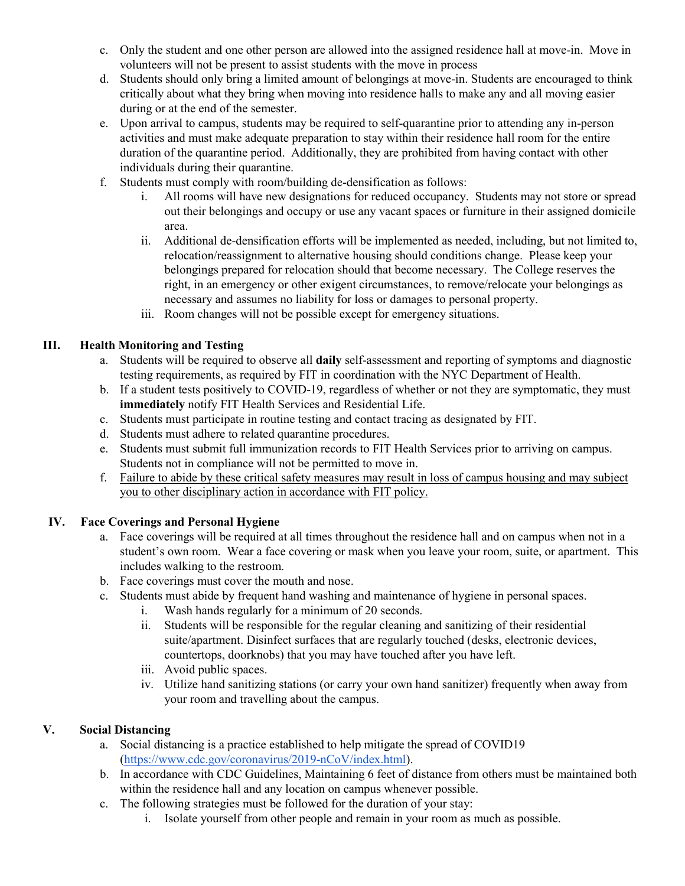- c. Only the student and one other person are allowed into the assigned residence hall at move-in. Move in volunteers will not be present to assist students with the move in process
- d. Students should only bring a limited amount of belongings at move-in. Students are encouraged to think critically about what they bring when moving into residence halls to make any and all moving easier during or at the end of the semester.
- e. Upon arrival to campus, students may be required to self-quarantine prior to attending any in-person activities and must make adequate preparation to stay within their residence hall room for the entire duration of the quarantine period. Additionally, they are prohibited from having contact with other individuals during their quarantine.
- f. Students must comply with room/building de-densification as follows:
	- i. All rooms will have new designations for reduced occupancy. Students may not store or spread out their belongings and occupy or use any vacant spaces or furniture in their assigned domicile area.
	- ii. Additional de-densification efforts will be implemented as needed, including, but not limited to, relocation/reassignment to alternative housing should conditions change. Please keep your belongings prepared for relocation should that become necessary. The College reserves the right, in an emergency or other exigent circumstances, to remove/relocate your belongings as necessary and assumes no liability for loss or damages to personal property.
	- iii. Room changes will not be possible except for emergency situations.

# **III. Health Monitoring and Testing**

- a. Students will be required to observe all **daily** self-assessment and reporting of symptoms and diagnostic testing requirements, as required by FIT in coordination with the NYC Department of Health.
- b. If a student tests positively to COVID-19, regardless of whether or not they are symptomatic, they must **immediately** notify FIT Health Services and Residential Life.
- c. Students must participate in routine testing and contact tracing as designated by FIT.
- d. Students must adhere to related quarantine procedures.
- e. Students must submit full immunization records to FIT Health Services prior to arriving on campus. Students not in compliance will not be permitted to move in.
- f. Failure to abide by these critical safety measures may result in loss of campus housing and may subject you to other disciplinary action in accordance with FIT policy.

# **IV. Face Coverings and Personal Hygiene**

- a. Face coverings will be required at all times throughout the residence hall and on campus when not in a student's own room. Wear a face covering or mask when you leave your room, suite, or apartment. This includes walking to the restroom.
- b. Face coverings must cover the mouth and nose.
- c. Students must abide by frequent hand washing and maintenance of hygiene in personal spaces.
	- i. Wash hands regularly for a minimum of 20 seconds.
	- ii. Students will be responsible for the regular cleaning and sanitizing of their residential suite/apartment. Disinfect surfaces that are regularly touched (desks, electronic devices, countertops, doorknobs) that you may have touched after you have left.
	- iii. Avoid public spaces.
	- iv. Utilize hand sanitizing stations (or carry your own hand sanitizer) frequently when away from your room and travelling about the campus.

# **V. Social Distancing**

- a. Social distancing is a practice established to help mitigate the spread of COVID19 [\(https://www.cdc.gov/coronavirus/2019-nCoV/index.html\).](https://www.cdc.gov/coronavirus/2019-nCoV/index.html)
- b. In accordance with CDC Guidelines, Maintaining 6 feet of distance from others must be maintained both within the residence hall and any location on campus whenever possible.
- c. The following strategies must be followed for the duration of your stay:
	- i. Isolate yourself from other people and remain in your room as much as possible.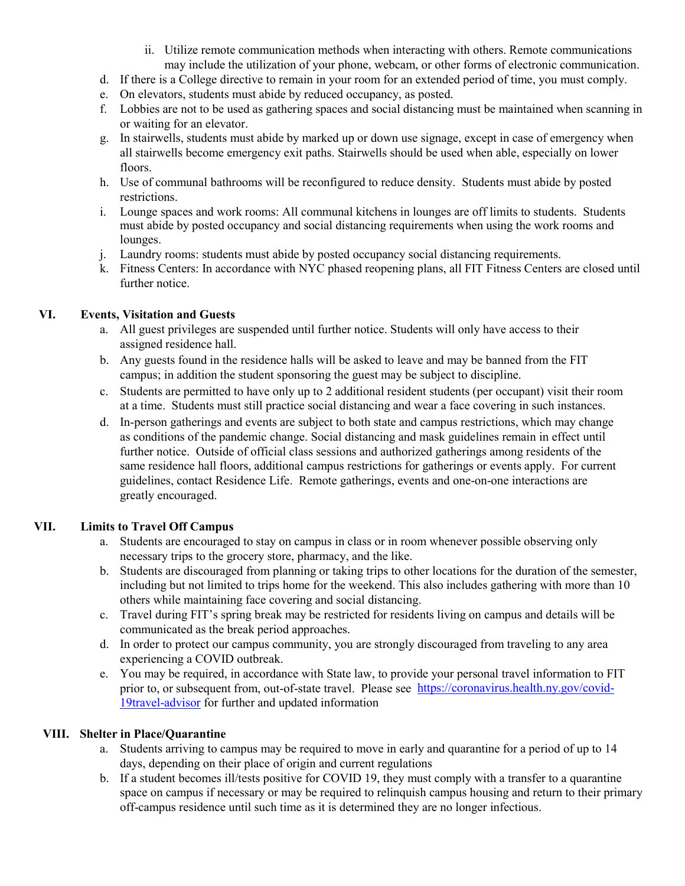- ii. Utilize remote communication methods when interacting with others. Remote communications may include the utilization of your phone, webcam, or other forms of electronic communication.
- d. If there is a College directive to remain in your room for an extended period of time, you must comply.
- e. On elevators, students must abide by reduced occupancy, as posted.
- f. Lobbies are not to be used as gathering spaces and social distancing must be maintained when scanning in or waiting for an elevator.
- g. In stairwells, students must abide by marked up or down use signage, except in case of emergency when all stairwells become emergency exit paths. Stairwells should be used when able, especially on lower floors.
- h. Use of communal bathrooms will be reconfigured to reduce density. Students must abide by posted restrictions.
- i. Lounge spaces and work rooms: All communal kitchens in lounges are off limits to students. Students must abide by posted occupancy and social distancing requirements when using the work rooms and lounges.
- j. Laundry rooms: students must abide by posted occupancy social distancing requirements.
- k. Fitness Centers: In accordance with NYC phased reopening plans, all FIT Fitness Centers are closed until further notice.

### **VI. Events, Visitation and Guests**

- a. All guest privileges are suspended until further notice. Students will only have access to their assigned residence hall.
- b. Any guests found in the residence halls will be asked to leave and may be banned from the FIT campus; in addition the student sponsoring the guest may be subject to discipline.
- c. Students are permitted to have only up to 2 additional resident students (per occupant) visit their room at a time. Students must still practice social distancing and wear a face covering in such instances.
- d. In-person gatherings and events are subject to both state and campus restrictions, which may change as conditions of the pandemic change. Social distancing and mask guidelines remain in effect until further notice. Outside of official class sessions and authorized gatherings among residents of the same residence hall floors, additional campus restrictions for gatherings or events apply. For current guidelines, contact Residence Life. Remote gatherings, events and one-on-one interactions are greatly encouraged.

# **VII. Limits to Travel Off Campus**

- a. Students are encouraged to stay on campus in class or in room whenever possible observing only necessary trips to the grocery store, pharmacy, and the like.
- b. Students are discouraged from planning or taking trips to other locations for the duration of the semester, including but not limited to trips home for the weekend. This also includes gathering with more than 10 others while maintaining face covering and social distancing.
- c. Travel during FIT's spring break may be restricted for residents living on campus and details will be communicated as the break period approaches.
- d. In order to protect our campus community, you are strongly discouraged from traveling to any area experiencing a COVID outbreak.
- e. You may be required, in accordance with State law, to provide your personal travel information to FIT prior to, or subsequent from, out-of-state travel. Please see [https://coronavirus.health.ny.gov/covid-](https://coronavirus.health.ny.gov/covid-19-travel-advisor)[19travel-advisor](https://coronavirus.health.ny.gov/covid-19-travel-advisor) for further and updated information

#### **VIII. Shelter in Place/Quarantine**

- a. Students arriving to campus may be required to move in early and quarantine for a period of up to 14 days, depending on their place of origin and current regulations
- b. If a student becomes ill/tests positive for COVID 19, they must comply with a transfer to a quarantine space on campus if necessary or may be required to relinquish campus housing and return to their primary off-campus residence until such time as it is determined they are no longer infectious.